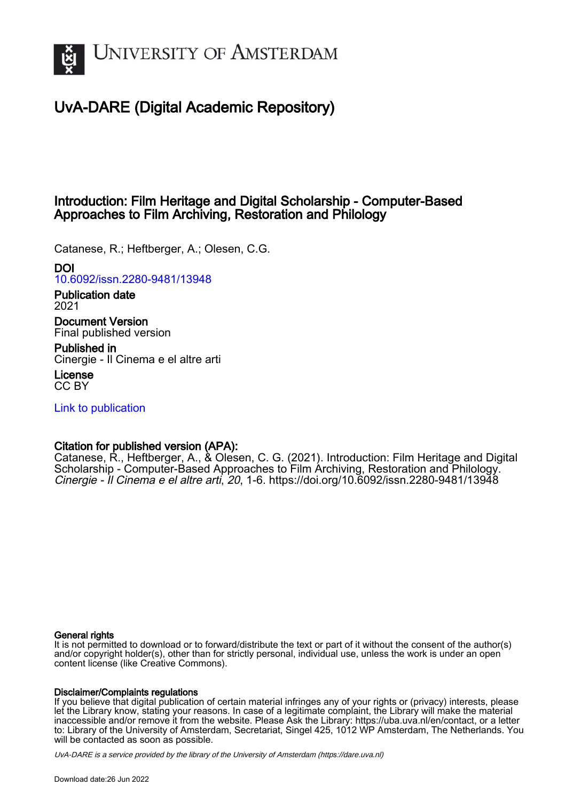

# UvA-DARE (Digital Academic Repository)

# Introduction: Film Heritage and Digital Scholarship - Computer-Based Approaches to Film Archiving, Restoration and Philology

Catanese, R.; Heftberger, A.; Olesen, C.G.

## DOI

[10.6092/issn.2280-9481/13948](https://doi.org/10.6092/issn.2280-9481/13948)

Publication date 2021

Document Version Final published version

Published in Cinergie - Il Cinema e el altre arti

License CC BY

[Link to publication](https://dare.uva.nl/personal/pure/en/publications/introduction-film-heritage-and-digital-scholarship--computerbased-approaches-to-film-archiving-restoration-and-philology(6162d505-6911-42ce-900e-b5acbbf07d1d).html)

## Citation for published version (APA):

Catanese, R., Heftberger, A., & Olesen, C. G. (2021). Introduction: Film Heritage and Digital Scholarship - Computer-Based Approaches to Film Archiving, Restoration and Philology. Cinergie - Il Cinema e el altre arti, 20, 1-6. <https://doi.org/10.6092/issn.2280-9481/13948>

### General rights

It is not permitted to download or to forward/distribute the text or part of it without the consent of the author(s) and/or copyright holder(s), other than for strictly personal, individual use, unless the work is under an open content license (like Creative Commons).

### Disclaimer/Complaints regulations

If you believe that digital publication of certain material infringes any of your rights or (privacy) interests, please let the Library know, stating your reasons. In case of a legitimate complaint, the Library will make the material inaccessible and/or remove it from the website. Please Ask the Library: https://uba.uva.nl/en/contact, or a letter to: Library of the University of Amsterdam, Secretariat, Singel 425, 1012 WP Amsterdam, The Netherlands. You will be contacted as soon as possible.

UvA-DARE is a service provided by the library of the University of Amsterdam (http*s*://dare.uva.nl)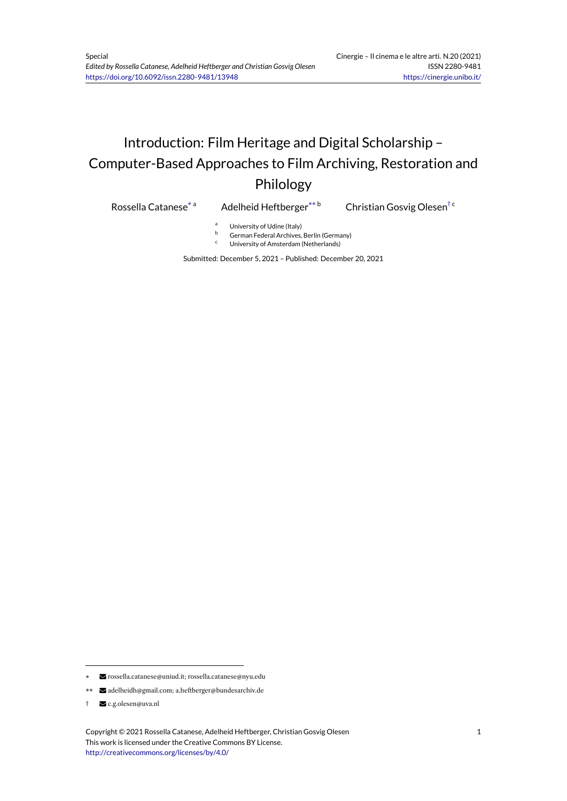# Introduction: Film Heritage and Digital Scholarship – Computer-Based Approaches to Film Archiving, Restoration and Philology

Rossella Catanese\*

Adelheid Heftberger\*\*b

Christian Gosvig Olesen<sup>† c</sup>

- <sup>a</sup> University of Udine (Italy)
- $\overline{b}$  German Federal Archives, Berlin (Germany)
- University of Amsterdam (Netherlands)

Submitted: December 5, 2021 – Published: December 20, 2021

<sup>\*</sup> rossella.catanese@uniud.it; rossella.catanese@nyu.edu

<sup>\*\*</sup> adelheidh@gmail.com; a.heftberger@bundesarchiv.de

<sup>†</sup> c.g.olesen@uva.nl

Copyright © 2021 Rossella Catanese, Adelheid Heftberger, Christian Gosvig Olesen This work is licensed under the Creative Commons BY License. http://creativecommons.org/licenses/by/4.0/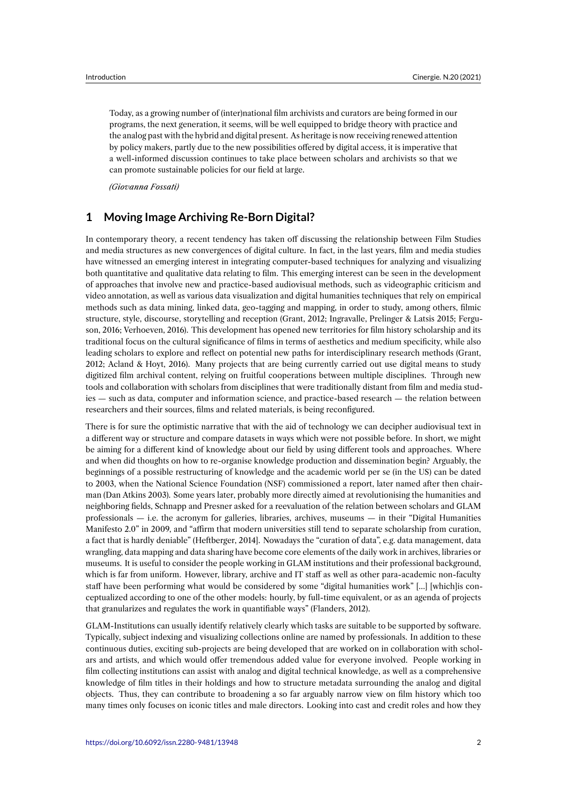Today, as a growing number of (inter)national film archivists and curators are being formed in our programs, the next generation, it seems, will be well equipped to bridge theory with practice and the analog past with the hybrid and digital present. As heritage is now receiving renewed attention by policy makers, partly due to the new possibilities offered by digital access, it is imperative that a well-informed discussion continues to take place between scholars and archivists so that we can promote sustainable policies for our field at large.

*(Giovanna Fossati)*

## **1 Moving Image Archiving Re-Born Digital?**

In contemporary theory, a recent tendency has taken off discussing the relationship between Film Studies and media structures as new convergences of digital culture. In fact, in the last years, film and media studies have witnessed an emerging interest in integrating computer-based techniques for analyzing and visualizing both quantitative and qualitative data relating to film. This emerging interest can be seen in the development of approaches that involve new and practice-based audiovisual methods, such as videographic criticism and video annotation, as well as various data visualization and digital humanities techniques that rely on empirical methods such as data mining, linked data, geo-tagging and mapping, in order to study, among others, filmic structure, style, discourse, storytelling and reception (Grant, 2012; Ingravalle, Prelinger & Latsis 2015; Ferguson, 2016; Verhoeven, 2016). This development has opened new territories for film history scholarship and its traditional focus on the cultural significance of films in terms of aesthetics and medium specificity, while also leading scholars to explore and reflect on potential new paths for interdisciplinary research methods (Grant, 2012; Acland & Hoyt, 2016). Many projects that are being currently carried out use digital means to study digitized film archival content, relying on fruitful cooperations between multiple disciplines. Through new tools and collaboration with scholars from disciplines that were traditionally distant from film and media studies — such as data, computer and information science, and practice-based research — the relation between researchers and their sources, films and related materials, is being reconfigured.

There is for sure the optimistic narrative that with the aid of technology we can decipher audiovisual text in a different way or structure and compare datasets in ways which were not possible before. In short, we might be aiming for a different kind of knowledge about our field by using different tools and approaches. Where and when did thoughts on how to re-organise knowledge production and dissemination begin? Arguably, the beginnings of a possible restructuring of knowledge and the academic world per se (in the US) can be dated to 2003, when the National Science Foundation (NSF) commissioned a report, later named after then chairman (Dan Atkins 2003). Some years later, probably more directly aimed at revolutionising the humanities and neighboring fields, Schnapp and Presner asked for a reevaluation of the relation between scholars and GLAM professionals — i.e. the acronym for galleries, libraries, archives, museums — in their "Digital Humanities Manifesto 2.0" in 2009, and "affirm that modern universities still tend to separate scholarship from curation, a fact that is hardly deniable" (Heftberger, 2014]. Nowadays the "curation of data", e.g. data management, data wrangling, data mapping and data sharing have become core elements of the daily work in archives, libraries or museums. It is useful to consider the people working in GLAM institutions and their professional background, which is far from uniform. However, library, archive and IT staff as well as other para-academic non-faculty staff have been performing what would be considered by some "digital humanities work" […] [which]is conceptualized according to one of the other models: hourly, by full-time equivalent, or as an agenda of projects that granularizes and regulates the work in quantifiable ways" (Flanders, 2012).

GLAM-Institutions can usually identify relatively clearly which tasks are suitable to be supported by software. Typically, subject indexing and visualizing collections online are named by professionals. In addition to these continuous duties, exciting sub-projects are being developed that are worked on in collaboration with scholars and artists, and which would offer tremendous added value for everyone involved. People working in film collecting institutions can assist with analog and digital technical knowledge, as well as a comprehensive knowledge of film titles in their holdings and how to structure metadata surrounding the analog and digital objects. Thus, they can contribute to broadening a so far arguably narrow view on film history which too many times only focuses on iconic titles and male directors. Looking into cast and credit roles and how they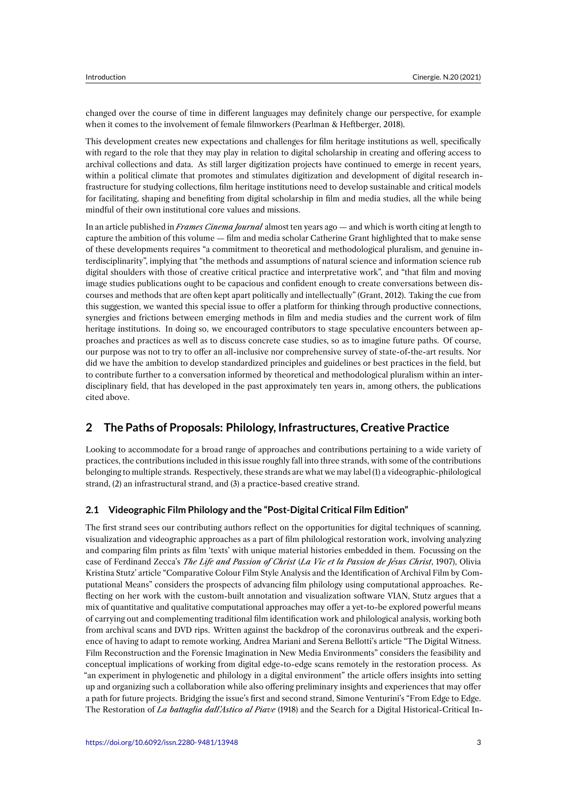changed over the course of time in different languages may definitely change our perspective, for example when it comes to the involvement of female filmworkers (Pearlman & Heftberger, 2018).

This development creates new expectations and challenges for film heritage institutions as well, specifically with regard to the role that they may play in relation to digital scholarship in creating and offering access to archival collections and data. As still larger digitization projects have continued to emerge in recent years, within a political climate that promotes and stimulates digitization and development of digital research infrastructure for studying collections, film heritage institutions need to develop sustainable and critical models for facilitating, shaping and benefiting from digital scholarship in film and media studies, all the while being mindful of their own institutional core values and missions.

In an article published in *Frames Cinema Journal* almost ten years ago — and which is worth citing at length to capture the ambition of this volume — film and media scholar Catherine Grant highlighted that to make sense of these developments requires "a commitment to theoretical and methodological pluralism, and genuine interdisciplinarity", implying that "the methods and assumptions of natural science and information science rub digital shoulders with those of creative critical practice and interpretative work", and "that film and moving image studies publications ought to be capacious and confident enough to create conversations between discourses and methods that are often kept apart politically and intellectually" (Grant, 2012). Taking the cue from this suggestion, we wanted this special issue to offer a platform for thinking through productive connections, synergies and frictions between emerging methods in film and media studies and the current work of film heritage institutions. In doing so, we encouraged contributors to stage speculative encounters between approaches and practices as well as to discuss concrete case studies, so as to imagine future paths. Of course, our purpose was not to try to offer an all-inclusive nor comprehensive survey of state-of-the-art results. Nor did we have the ambition to develop standardized principles and guidelines or best practices in the field, but to contribute further to a conversation informed by theoretical and methodological pluralism within an interdisciplinary field, that has developed in the past approximately ten years in, among others, the publications cited above.

## **2 The Paths of Proposals: Philology, Infrastructures, Creative Practice**

Looking to accommodate for a broad range of approaches and contributions pertaining to a wide variety of practices, the contributions included in this issue roughly fall into three strands, with some of the contributions belonging to multiple strands. Respectively, these strands are what we may label (1) a videographic-philological strand, (2) an infrastructural strand, and (3) a practice-based creative strand.

#### **2.1 Videographic Film Philology and the "Post-Digital Critical Film Edition"**

The first strand sees our contributing authors reflect on the opportunities for digital techniques of scanning, visualization and videographic approaches as a part of film philological restoration work, involving analyzing and comparing film prints as film 'texts' with unique material histories embedded in them. Focussing on the case of Ferdinand Zecca's *The Life and Passion of Christ* (*La Vie et la Passion de Jésus Christ*, 1907), Olivia Kristina Stutz' article "Comparative Colour Film Style Analysis and the Identification of Archival Film by Computational Means" considers the prospects of advancing film philology using computational approaches. Reflecting on her work with the custom-built annotation and visualization software VIAN, Stutz argues that a mix of quantitative and qualitative computational approaches may offer a yet-to-be explored powerful means of carrying out and complementing traditional film identification work and philological analysis, working both from archival scans and DVD rips. Written against the backdrop of the coronavirus outbreak and the experience of having to adapt to remote working, Andrea Mariani and Serena Bellotti's article "The Digital Witness. Film Reconstruction and the Forensic Imagination in New Media Environments" considers the feasibility and conceptual implications of working from digital edge-to-edge scans remotely in the restoration process. As "an experiment in phylogenetic and philology in a digital environment" the article offers insights into setting up and organizing such a collaboration while also offering preliminary insights and experiences that may offer a path for future projects. Bridging the issue's first and second strand, Simone Venturini's "From Edge to Edge. The Restoration of *La battaglia dall'Astico al Piave* (1918) and the Search for a Digital Historical-Critical In-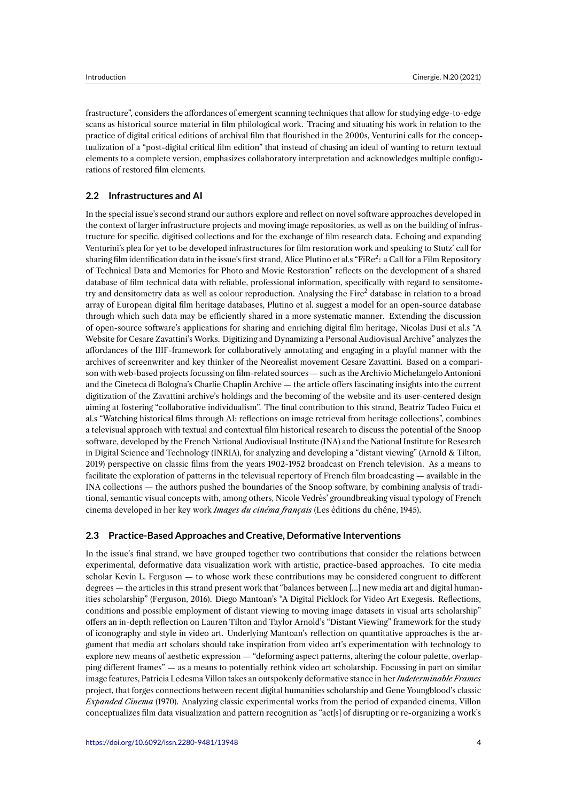frastructure", considers the affordances of emergent scanning techniques that allow for studying edge-to-edge scans as historical source material in film philological work. Tracing and situating his work in relation to the practice of digital critical editions of archival film that flourished in the 2000s, Venturini calls for the conceptualization of a "post-digital critical film edition" that instead of chasing an ideal of wanting to return textual elements to a complete version, emphasizes collaboratory interpretation and acknowledges multiple configurations of restored film elements.

#### **2.2 Infrastructures and AI**

In the special issue's second strand our authors explore and reflect on novel software approaches developed in the context of larger infrastructure projects and moving image repositories, as well as on the building of infrastructure for specific, digitised collections and for the exchange of film research data. Echoing and expanding Venturini's plea for yet to be developed infrastructures for film restoration work and speaking to Stutz' call for sharing film identification data in the issue's first strand, Alice Plutino et al.s "FiRe<sup>2</sup>: a Call for a Film Repository of Technical Data and Memories for Photo and Movie Restoration" reflects on the development of a shared database of film technical data with reliable, professional information, specifically with regard to sensitometry and densitometry data as well as colour reproduction. Analysing the Fire<sup>2</sup> database in relation to a broad array of European digital film heritage databases, Plutino et al. suggest a model for an open-source database through which such data may be efficiently shared in a more systematic manner. Extending the discussion of open-source software's applications for sharing and enriching digital film heritage, Nicolas Dusi et al.s "A Website for Cesare Zavattini's Works. Digitizing and Dynamizing a Personal Audiovisual Archive" analyzes the affordances of the IIIF-framework for collaboratively annotating and engaging in a playful manner with the archives of screenwriter and key thinker of the Neorealist movement Cesare Zavattini. Based on a comparison with web-based projects focussing on film-related sources — such as the Archivio Michelangelo Antonioni and the Cineteca di Bologna's Charlie Chaplin Archive — the article offers fascinating insights into the current digitization of the Zavattini archive's holdings and the becoming of the website and its user-centered design aiming at fostering "collaborative individualism". The final contribution to this strand, Beatriz Tadeo Fuica et al.s "Watching historical films through AI: reflections on image retrieval from heritage collections", combines a televisual approach with textual and contextual film historical research to discuss the potential of the Snoop software, developed by the French National Audiovisual Institute (INA) and the National Institute for Research in Digital Science and Technology (INRIA), for analyzing and developing a "distant viewing" (Arnold & Tilton, 2019) perspective on classic films from the years 1902-1952 broadcast on French television. As a means to facilitate the exploration of patterns in the televisual repertory of French film broadcasting — available in the INA collections — the authors pushed the boundaries of the Snoop software, by combining analysis of traditional, semantic visual concepts with, among others, Nicole Vedrès' groundbreaking visual typology of French cinema developed in her key work *Images du cinéma français* (Les éditions du chêne, 1945).

#### **2.3 Practice-Based Approaches and Creative, Deformative Interventions**

In the issue's final strand, we have grouped together two contributions that consider the relations between experimental, deformative data visualization work with artistic, practice-based approaches. To cite media scholar Kevin L. Ferguson — to whose work these contributions may be considered congruent to different degrees — the articles in this strand present work that "balances between […] new media art and digital humanities scholarship" (Ferguson, 2016). Diego Mantoan's "A Digital Picklock for Video Art Exegesis. Reflections, conditions and possible employment of distant viewing to moving image datasets in visual arts scholarship" offers an in-depth reflection on Lauren Tilton and Taylor Arnold's "Distant Viewing" framework for the study of iconography and style in video art. Underlying Mantoan's reflection on quantitative approaches is the argument that media art scholars should take inspiration from video art's experimentation with technology to explore new means of aesthetic expression — "deforming aspect patterns, altering the colour palette, overlapping different frames" — as a means to potentially rethink video art scholarship. Focussing in part on similar image features, Patricia Ledesma Villon takes an outspokenly deformative stance in her *Indeterminable Frames* project, that forges connections between recent digital humanities scholarship and Gene Youngblood's classic *Expanded Cinema* (1970). Analyzing classic experimental works from the period of expanded cinema, Villon conceptualizes film data visualization and pattern recognition as "act[s] of disrupting or re-organizing a work's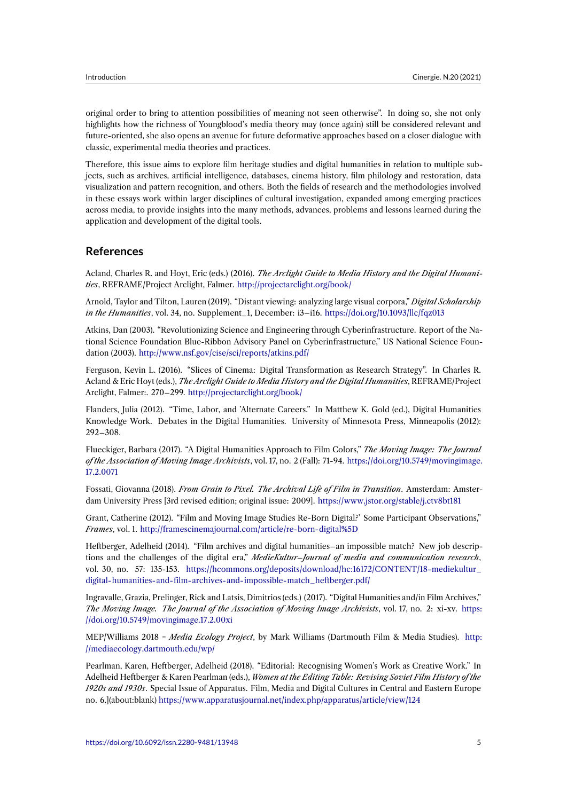original order to bring to attention possibilities of meaning not seen otherwise". In doing so, she not only highlights how the richness of Youngblood's media theory may (once again) still be considered relevant and future-oriented, she also opens an avenue for future deformative approaches based on a closer dialogue with classic, experimental media theories and practices.

Therefore, this issue aims to explore film heritage studies and digital humanities in relation to multiple subjects, such as archives, artificial intelligence, databases, cinema history, film philology and restoration, data visualization and pattern recognition, and others. Both the fields of research and the methodologies involved in these essays work within larger disciplines of cultural investigation, expanded among emerging practices across media, to provide insights into the many methods, advances, problems and lessons learned during the application and development of the digital tools.

## **References**

Acland, Charles R. and Hoyt, Eric (eds.) (2016). *The Arclight Guide to Media History and the Digital Humanities*, REFRAME/Project Arclight, Falmer. http://projectarclight.org/book/

Arnold, Taylor and Tilton, Lauren (2019). "Distant viewing: analyzing large visual corpora," *Digital Scholarship in the Humanities*, vol. 34, no. Supplement\_1, December: i3–i16. https://doi.org/10.1093/llc/fqz013

Atkins, Dan (2003). "Revolutionizing Scie[nce and Engineering through Cy](http://projectarclight.org/book/)berinfrastructure. Report of the National Science Foundation Blue-Ribbon Advisory Panel on Cyberinfrastructure," US National Science Foundation (2003). http://www.nsf.gov/cise/sci/reports/atkins.pdf/

Ferguson, Kevin L. (2016). "Slices of Cinema: Digital Transformation as Research Strategy". In Charles R. Acland & Eric Hoyt (eds.), *The Arclight Guide to Media History and the Digital Humanities*, REFRAME/Project Arclight, Falmer:. 270–299. [http://projectarclight.org/book/](http://www.nsf.gov/cise/sci/reports/atkins.pdf/)

Flanders, Julia (2012). "Time, Labor, and 'Alternate Careers." In Matthew K. Gold (ed.), Digital Humanities Knowledge Work. Debates in the Digital Humanities. University of Minnesota Press, Minneapolis (2012): 292–308.

Flueckiger, Barbara (2017). "A Digital Humanities Approach to Film Colors," *The Moving Image: The Journal of the Association of Moving Image Archivists*, vol. 17, no. 2 (Fall): 71-94. https://doi.org/10.5749/movingimage. 17.2.0071

Fossati, Giovanna (2018). *From Grain to Pixel. The Archival Life of Film in Transition*. Amsterdam: Amsterdam University Press [3rd revised edition; original issue: 2009]. https://[www.jstor.org/stable/j.ctv8bt181](https://doi.org/10.5749/movingimage.17.2.0071)

[Grant, Ca](https://doi.org/10.5749/movingimage.17.2.0071)therine (2012). "Film and Moving Image Studies Re-Born Digital?' Some Participant Observations," *Frames*, vol. 1. http://framescinemajournal.com/article/re-born-digital%5D

Heftberger, Adelheid (2014). "Film archives and digital humani[ties–an impossible match? New job de](https://www.jstor.org/stable/j.ctv8bt181)scriptions and the challenges of the digital era," *MedieKultur–Journal of media and communication research*, vol. 30, no. 57: 135-153. https://hcommons.org/deposits/download/hc:16172/CONTENT/18-mediekultur\_ digital-humani[ties-and-film-archives-and-impossible-match\\_heftberger.p](http://framescinemajournal.com/article/re-born-digital%5D)df/

Ingravalle, Grazia, Prelinger, Rick and Latsis, Dimitrios (eds.) (2017). "Digital Humanities and/in Film Archives," *The Moving Image. The Jo[urnal of the Association of Moving Image Archivists](https://hcommons.org/deposits/download/hc:16172/CONTENT/18-mediekultur_digital-humanities-and-film-archives-and-impossible-match_heftberger.pdf/)*, vol. 17, no. 2: xi-xv. https: [//doi.org/10.5749/movingimage.17.2.00xi](https://hcommons.org/deposits/download/hc:16172/CONTENT/18-mediekultur_digital-humanities-and-film-archives-and-impossible-match_heftberger.pdf/)

MEP/Williams 2018 = *Media Ecology Project*, by Mark Williams (Dartmouth Film & Media Studies). http: //mediaecology.dartmouth.edu/wp/

[Pearlman, Karen, Heftberger, Adelheid \(](https://doi.org/10.5749/movingimage.17.2.00xi)2018). "Editorial: Recognising Women's Work as Creative Work." In Adelheid Heftberger & Karen Pearlman (eds.), *Women at the Editing Table: Revising Soviet Film History of the 1920s and 1930s*. Special Issue of Apparatus. Film, Media and Digital Cultures in Central and Eastern Eu[rope](http://mediaecology.dartmouth.edu/wp/) [no. 6.\]\(about:blank\)](http://mediaecology.dartmouth.edu/wp/) https://www.apparatusjournal.net/index.php/apparatus/article/view/124